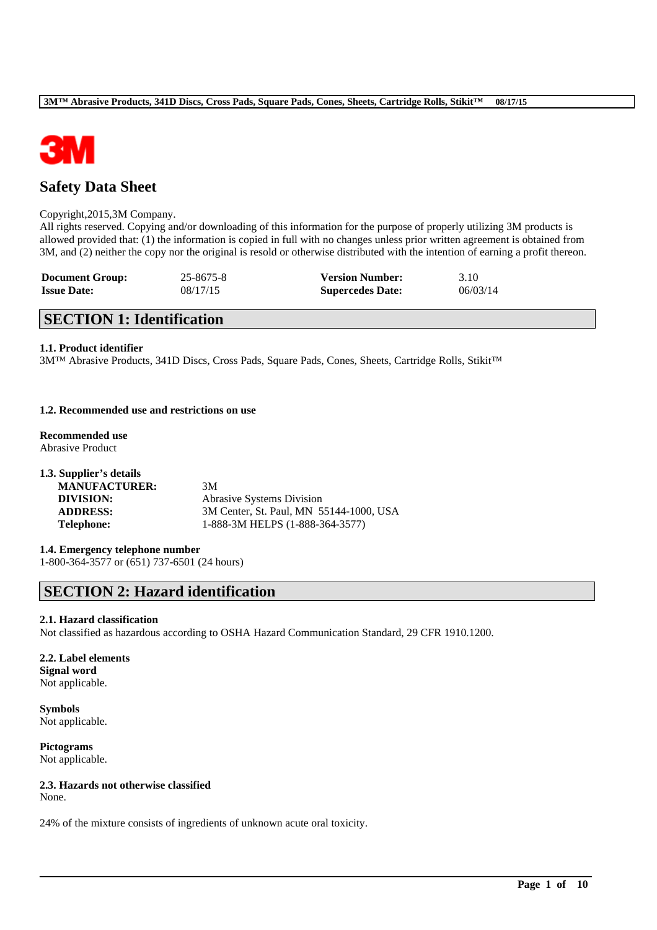

# **Safety Data Sheet**

#### Copyright,2015,3M Company.

All rights reserved. Copying and/or downloading of this information for the purpose of properly utilizing 3M products is allowed provided that: (1) the information is copied in full with no changes unless prior written agreement is obtained from 3M, and (2) neither the copy nor the original is resold or otherwise distributed with the intention of earning a profit thereon.

| <b>Document Group:</b> | 25-8675-8 | <b>Version Number:</b>  | 3.10     |
|------------------------|-----------|-------------------------|----------|
| <b>Issue Date:</b>     | 08/17/15  | <b>Supercedes Date:</b> | 06/03/14 |

## **SECTION 1: Identification**

#### **1.1. Product identifier**

3M™ Abrasive Products, 341D Discs, Cross Pads, Square Pads, Cones, Sheets, Cartridge Rolls, Stikit™

#### **1.2. Recommended use and restrictions on use**

**Recommended use** Abrasive Product

| 1.3. Supplier's details |                                         |
|-------------------------|-----------------------------------------|
| <b>MANUFACTURER:</b>    | 3M                                      |
| DIVISION:               | <b>Abrasive Systems Division</b>        |
| <b>ADDRESS:</b>         | 3M Center, St. Paul, MN 55144-1000, USA |
| <b>Telephone:</b>       | 1-888-3M HELPS (1-888-364-3577)         |

### **1.4. Emergency telephone number**

1-800-364-3577 or (651) 737-6501 (24 hours)

# **SECTION 2: Hazard identification**

#### **2.1. Hazard classification**

Not classified as hazardous according to OSHA Hazard Communication Standard, 29 CFR 1910.1200.

\_\_\_\_\_\_\_\_\_\_\_\_\_\_\_\_\_\_\_\_\_\_\_\_\_\_\_\_\_\_\_\_\_\_\_\_\_\_\_\_\_\_\_\_\_\_\_\_\_\_\_\_\_\_\_\_\_\_\_\_\_\_\_\_\_\_\_\_\_\_\_\_\_\_\_\_\_\_\_\_\_\_\_\_\_\_\_\_\_\_

#### **2.2. Label elements Signal word** Not applicable.

**Symbols** Not applicable.

**Pictograms** Not applicable.

## **2.3. Hazards not otherwise classified**

None.

24% of the mixture consists of ingredients of unknown acute oral toxicity.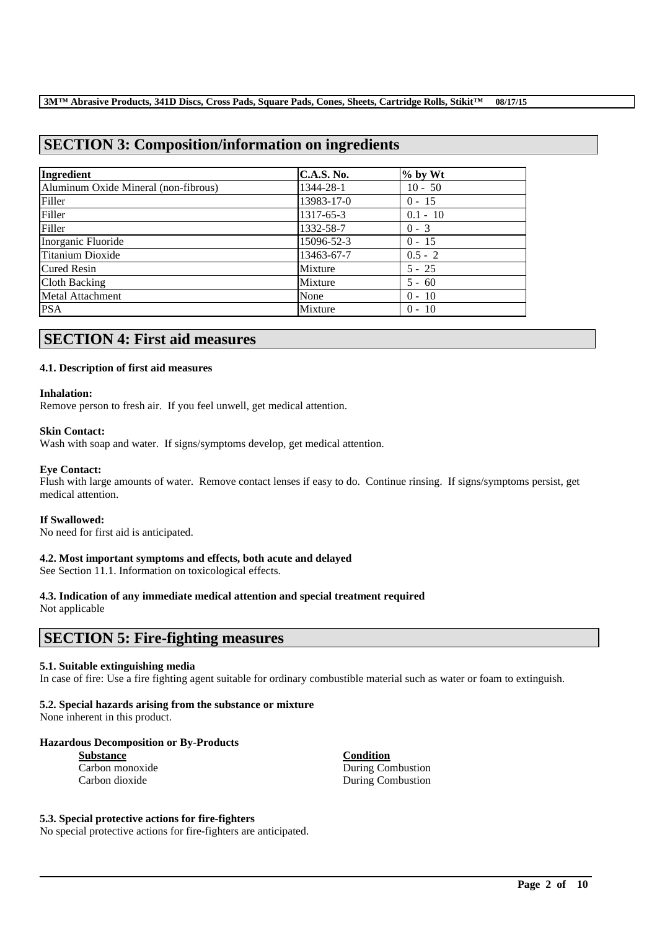# **SECTION 3: Composition/information on ingredients**

| Ingredient                           | <b>C.A.S. No.</b> | $%$ by Wt  |
|--------------------------------------|-------------------|------------|
| Aluminum Oxide Mineral (non-fibrous) | 1344-28-1         | $10 - 50$  |
| Filler                               | 13983-17-0        | $0 - 15$   |
| Filler                               | 1317-65-3         | $0.1 - 10$ |
| Filler                               | 1332-58-7         | $0 - 3$    |
| Inorganic Fluoride                   | 15096-52-3        | $0 - 15$   |
| Titanium Dioxide                     | 13463-67-7        | $0.5 - 2$  |
| <b>Cured Resin</b>                   | Mixture           | $5 - 25$   |
| Cloth Backing                        | Mixture           | $5 - 60$   |
| Metal Attachment                     | None              | $0 - 10$   |
| <b>PSA</b>                           | Mixture           | $0 - 10$   |

# **SECTION 4: First aid measures**

### **4.1. Description of first aid measures**

#### **Inhalation:**

Remove person to fresh air. If you feel unwell, get medical attention.

#### **Skin Contact:**

Wash with soap and water. If signs/symptoms develop, get medical attention.

#### **Eye Contact:**

Flush with large amounts of water. Remove contact lenses if easy to do. Continue rinsing. If signs/symptoms persist, get medical attention.

#### **If Swallowed:**

No need for first aid is anticipated.

### **4.2. Most important symptoms and effects, both acute and delayed**

See Section 11.1. Information on toxicological effects.

### **4.3. Indication of any immediate medical attention and special treatment required**

Not applicable

## **SECTION 5: Fire-fighting measures**

#### **5.1. Suitable extinguishing media**

In case of fire: Use a fire fighting agent suitable for ordinary combustible material such as water or foam to extinguish.

\_\_\_\_\_\_\_\_\_\_\_\_\_\_\_\_\_\_\_\_\_\_\_\_\_\_\_\_\_\_\_\_\_\_\_\_\_\_\_\_\_\_\_\_\_\_\_\_\_\_\_\_\_\_\_\_\_\_\_\_\_\_\_\_\_\_\_\_\_\_\_\_\_\_\_\_\_\_\_\_\_\_\_\_\_\_\_\_\_\_

### **5.2. Special hazards arising from the substance or mixture**

None inherent in this product.

### **Hazardous Decomposition or By-Products**

| <b>Substance</b> |  |  |
|------------------|--|--|
| Carbon monoxide  |  |  |
| Carbon dioxide   |  |  |

**Substance Condition** During Combustion During Combustion

#### **5.3. Special protective actions for fire-fighters**

No special protective actions for fire-fighters are anticipated.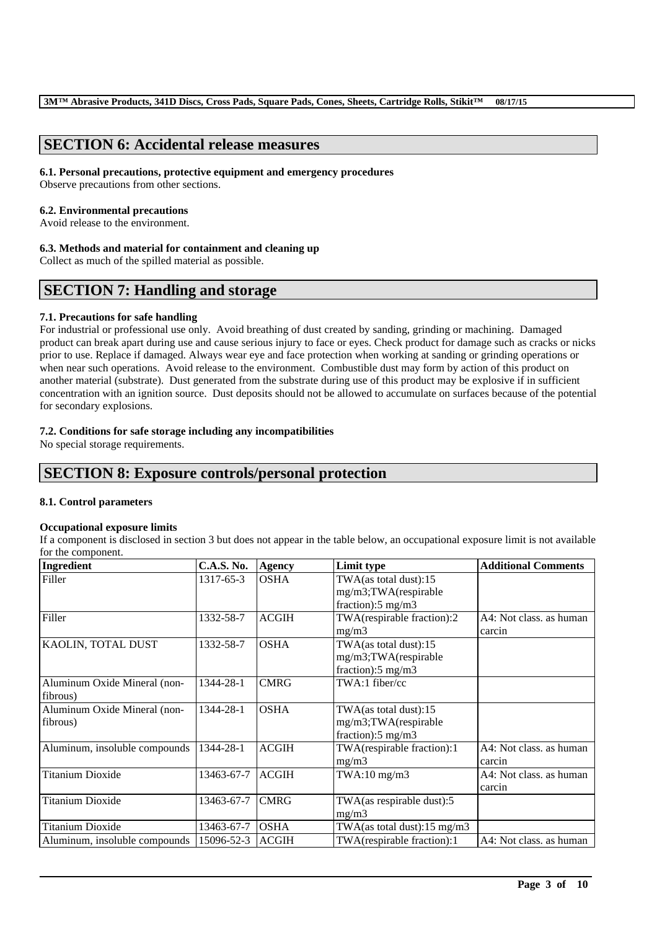# **SECTION 6: Accidental release measures**

#### **6.1. Personal precautions, protective equipment and emergency procedures**

Observe precautions from other sections.

#### **6.2. Environmental precautions**

Avoid release to the environment.

#### **6.3. Methods and material for containment and cleaning up**

Collect as much of the spilled material as possible.

# **SECTION 7: Handling and storage**

### **7.1. Precautions for safe handling**

For industrial or professional use only. Avoid breathing of dust created by sanding, grinding or machining. Damaged product can break apart during use and cause serious injury to face or eyes. Check product for damage such as cracks or nicks prior to use. Replace if damaged. Always wear eye and face protection when working at sanding or grinding operations or when near such operations. Avoid release to the environment. Combustible dust may form by action of this product on another material (substrate). Dust generated from the substrate during use of this product may be explosive if in sufficient concentration with an ignition source. Dust deposits should not be allowed to accumulate on surfaces because of the potential for secondary explosions.

## **7.2. Conditions for safe storage including any incompatibilities**

No special storage requirements.

# **SECTION 8: Exposure controls/personal protection**

### **8.1. Control parameters**

### **Occupational exposure limits**

If a component is disclosed in section 3 but does not appear in the table below, an occupational exposure limit is not available for the component.

| Ingredient                    | <b>C.A.S. No.</b> | <b>Agency</b> | Limit type                    | <b>Additional Comments</b> |
|-------------------------------|-------------------|---------------|-------------------------------|----------------------------|
| Filler                        | 1317-65-3         | <b>OSHA</b>   | TWA(as total dust):15         |                            |
|                               |                   |               | mg/m3;TWA(respirable          |                            |
|                               |                   |               | fraction): $5 \text{ mg/m}$ 3 |                            |
| Filler                        | 1332-58-7         | <b>ACGIH</b>  | TWA(respirable fraction):2    | A4: Not class. as human    |
|                               |                   |               | mg/m3                         | carcin                     |
| KAOLIN, TOTAL DUST            | 1332-58-7         | <b>OSHA</b>   | TWA(as total dust):15         |                            |
|                               |                   |               | mg/m3;TWA(respirable          |                            |
|                               |                   |               | fraction): $5 \text{ mg/m}$ 3 |                            |
| Aluminum Oxide Mineral (non-  | 1344-28-1         | <b>CMRG</b>   | TWA:1 fiber/cc                |                            |
| fibrous)                      |                   |               |                               |                            |
| Aluminum Oxide Mineral (non-  | 1344-28-1         | <b>OSHA</b>   | TWA(as total dust):15         |                            |
| fibrous)                      |                   |               | mg/m3;TWA(respirable          |                            |
|                               |                   |               | fraction): $5 \text{ mg/m}$ 3 |                            |
| Aluminum, insoluble compounds | 1344-28-1         | <b>ACGIH</b>  | TWA(respirable fraction):1    | A4: Not class. as human    |
|                               |                   |               | mg/m3                         | carcin                     |
| <b>Titanium Dioxide</b>       | 13463-67-7        | <b>ACGIH</b>  | $TWA:10$ mg/m $3$             | A4: Not class, as human    |
|                               |                   |               |                               | carcin                     |
| <b>Titanium Dioxide</b>       | 13463-67-7        | <b>CMRG</b>   | TWA(as respirable dust):5     |                            |
|                               |                   |               | mg/m3                         |                            |
| <b>Titanium Dioxide</b>       | 13463-67-7        | <b>OSHA</b>   | TWA(as total dust):15 mg/m3   |                            |
| Aluminum, insoluble compounds | 15096-52-3        | <b>ACGIH</b>  | TWA(respirable fraction):1    | A4: Not class. as human    |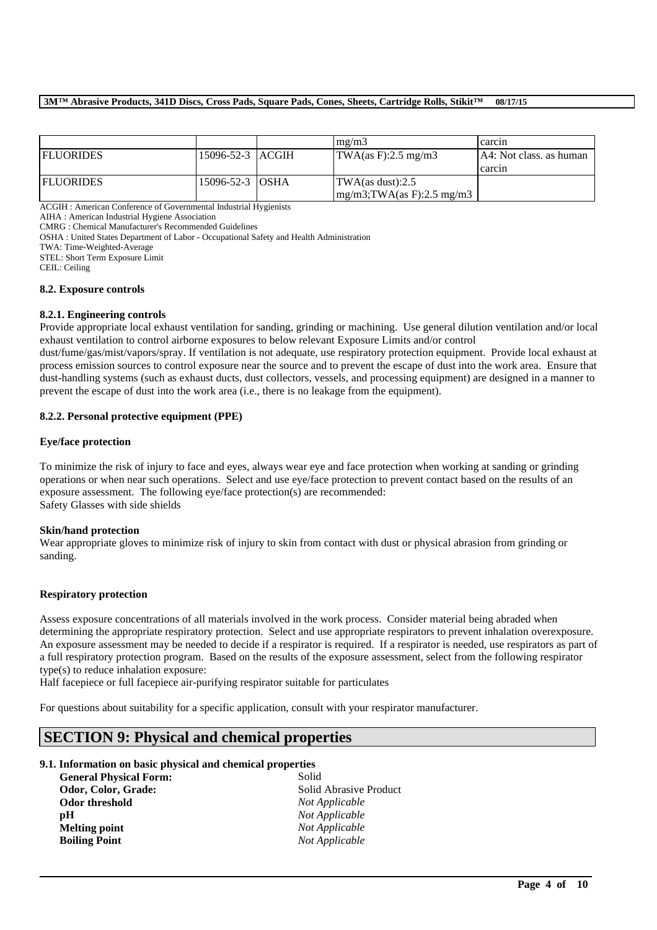#### **3M™ Abrasive Products, 341D Discs, Cross Pads, Square Pads, Cones, Sheets, Cartridge Rolls, Stikit™ 08/17/15**

|                  |                        | $m\Omega/m3$                                 | carcin                  |
|------------------|------------------------|----------------------------------------------|-------------------------|
| <b>FLUORIDES</b> | 15096-52-3 ACGIH       | $\text{TWA}(as F): 2.5 \text{ mg}/\text{m}3$ | A4: Not class, as human |
|                  |                        |                                              | carcin                  |
| <b>FLUORIDES</b> | 15096-52-3 <b>OSHA</b> | $\text{TWA}\left(\text{as dust}\right):2.5$  |                         |
|                  |                        | $mg/m3$ ; TWA(as F): 2.5 mg/m3               |                         |

ACGIH : American Conference of Governmental Industrial Hygienists

AIHA : American Industrial Hygiene Association

CMRG : Chemical Manufacturer's Recommended Guidelines

OSHA : United States Department of Labor - Occupational Safety and Health Administration

TWA: Time-Weighted-Average

STEL: Short Term Exposure Limit

CEIL: Ceiling

#### **8.2. Exposure controls**

#### **8.2.1. Engineering controls**

Provide appropriate local exhaust ventilation for sanding, grinding or machining. Use general dilution ventilation and/or local exhaust ventilation to control airborne exposures to below relevant Exposure Limits and/or control

dust/fume/gas/mist/vapors/spray. If ventilation is not adequate, use respiratory protection equipment. Provide local exhaust at process emission sources to control exposure near the source and to prevent the escape of dust into the work area. Ensure that dust-handling systems (such as exhaust ducts, dust collectors, vessels, and processing equipment) are designed in a manner to prevent the escape of dust into the work area (i.e., there is no leakage from the equipment).

### **8.2.2. Personal protective equipment (PPE)**

#### **Eye/face protection**

To minimize the risk of injury to face and eyes, always wear eye and face protection when working at sanding or grinding operations or when near such operations. Select and use eye/face protection to prevent contact based on the results of an exposure assessment. The following eye/face protection(s) are recommended: Safety Glasses with side shields

#### **Skin/hand protection**

Wear appropriate gloves to minimize risk of injury to skin from contact with dust or physical abrasion from grinding or sanding.

#### **Respiratory protection**

Assess exposure concentrations of all materials involved in the work process. Consider material being abraded when determining the appropriate respiratory protection. Select and use appropriate respirators to prevent inhalation overexposure. An exposure assessment may be needed to decide if a respirator is required. If a respirator is needed, use respirators as part of a full respiratory protection program. Based on the results of the exposure assessment, select from the following respirator type(s) to reduce inhalation exposure:

\_\_\_\_\_\_\_\_\_\_\_\_\_\_\_\_\_\_\_\_\_\_\_\_\_\_\_\_\_\_\_\_\_\_\_\_\_\_\_\_\_\_\_\_\_\_\_\_\_\_\_\_\_\_\_\_\_\_\_\_\_\_\_\_\_\_\_\_\_\_\_\_\_\_\_\_\_\_\_\_\_\_\_\_\_\_\_\_\_\_

Half facepiece or full facepiece air-purifying respirator suitable for particulates

For questions about suitability for a specific application, consult with your respirator manufacturer.

## **SECTION 9: Physical and chemical properties**

#### **9.1. Information on basic physical and chemical properties**

| <b>General Physical Form:</b> | Solid                  |
|-------------------------------|------------------------|
| Odor, Color, Grade:           | Solid Abrasive Product |
| Odor threshold                | <i>Not Applicable</i>  |
| рH                            | Not Applicable         |
| <b>Melting point</b>          | Not Applicable         |
| <b>Boiling Point</b>          | Not Applicable         |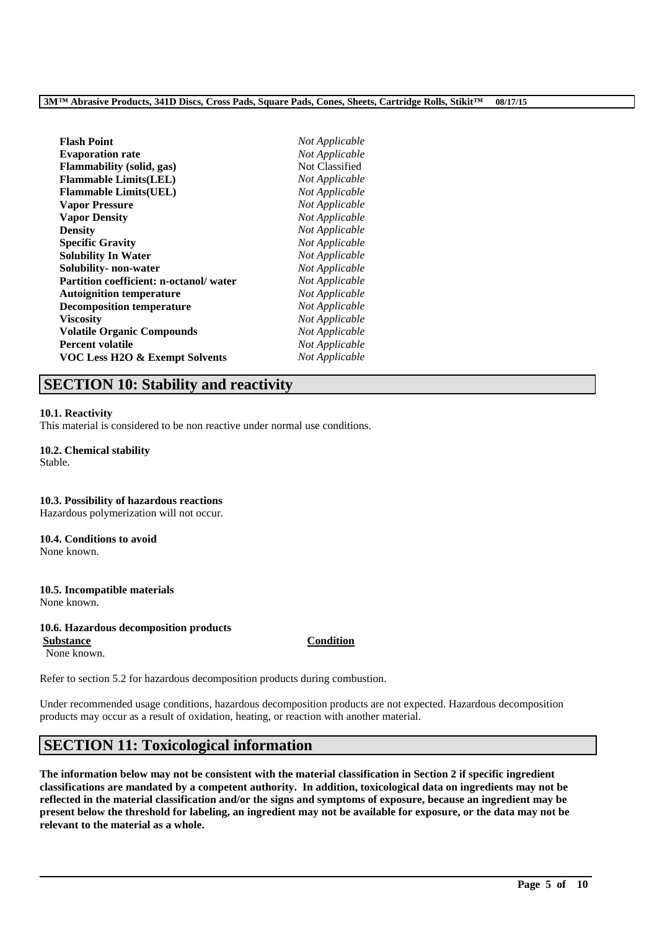| <b>Flash Point</b>                        | Not Applicable |
|-------------------------------------------|----------------|
| <b>Evaporation rate</b>                   | Not Applicable |
| <b>Flammability (solid, gas)</b>          | Not Classified |
| <b>Flammable Limits(LEL)</b>              | Not Applicable |
| <b>Flammable Limits(UEL)</b>              | Not Applicable |
| <b>Vapor Pressure</b>                     | Not Applicable |
| <b>Vapor Density</b>                      | Not Applicable |
| <b>Density</b>                            | Not Applicable |
| <b>Specific Gravity</b>                   | Not Applicable |
| <b>Solubility In Water</b>                | Not Applicable |
| Solubility- non-water                     | Not Applicable |
| Partition coefficient: n-octanol/ water   | Not Applicable |
| <b>Autoignition temperature</b>           | Not Applicable |
| <b>Decomposition temperature</b>          | Not Applicable |
| <b>Viscosity</b>                          | Not Applicable |
| <b>Volatile Organic Compounds</b>         | Not Applicable |
| <b>Percent volatile</b>                   | Not Applicable |
| <b>VOC Less H2O &amp; Exempt Solvents</b> | Not Applicable |

# **SECTION 10: Stability and reactivity**

#### **10.1. Reactivity**

This material is considered to be non reactive under normal use conditions.

#### **10.2. Chemical stability** Stable.

## **10.3. Possibility of hazardous reactions**

Hazardous polymerization will not occur.

## **10.4. Conditions to avoid**

None known.

### **10.5. Incompatible materials**

None known.

## **10.6. Hazardous decomposition products**

**Substance Condition** None known.

Refer to section 5.2 for hazardous decomposition products during combustion.

Under recommended usage conditions, hazardous decomposition products are not expected. Hazardous decomposition products may occur as a result of oxidation, heating, or reaction with another material.

# **SECTION 11: Toxicological information**

**The information below may not be consistent with the material classification in Section 2 if specific ingredient classifications are mandated by a competent authority. In addition, toxicological data on ingredients may not be reflected in the material classification and/or the signs and symptoms of exposure, because an ingredient may be present below the threshold for labeling, an ingredient may not be available for exposure, or the data may not be relevant to the material as a whole.**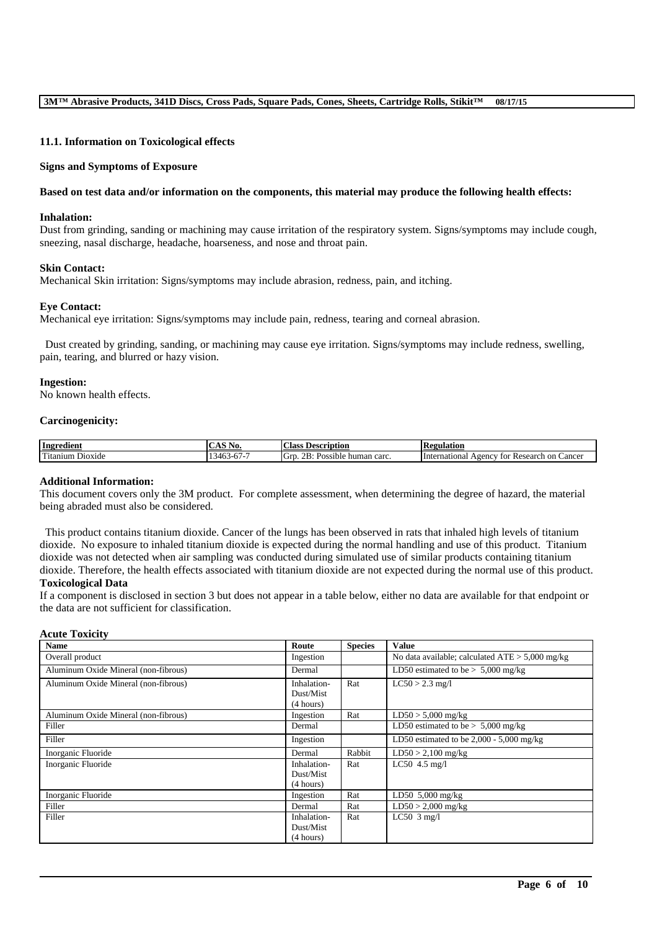#### **11.1. Information on Toxicological effects**

#### **Signs and Symptoms of Exposure**

#### **Based on test data and/or information on the components, this material may produce the following health effects:**

#### **Inhalation:**

Dust from grinding, sanding or machining may cause irritation of the respiratory system. Signs/symptoms may include cough, sneezing, nasal discharge, headache, hoarseness, and nose and throat pain.

#### **Skin Contact:**

Mechanical Skin irritation: Signs/symptoms may include abrasion, redness, pain, and itching.

#### **Eye Contact:**

Mechanical eye irritation: Signs/symptoms may include pain, redness, tearing and corneal abrasion.

Dust created by grinding, sanding, or machining may cause eye irritation. Signs/symptoms may include redness, swelling, pain, tearing, and blurred or hazy vision.

#### **Ingestion:**

No known health effects.

#### **Carcinogenicity:**

| Ingredient                                              | $\mathbf{A} \times \mathbf{C}$<br>NO.<br>$\sim$                                        | $\sim$<br><b>Description</b><br>. :lass<br>$\sim$   | kegulation                                                                       |
|---------------------------------------------------------|----------------------------------------------------------------------------------------|-----------------------------------------------------|----------------------------------------------------------------------------------|
| cran f<br>D <sub>10</sub> x <sub>1</sub> de<br>`itanıum | $\overline{\phantom{a}}$<br>- -<br>$\overline{\phantom{a}}$<br>.46<br>л.<br>v<br>T 1 . | <sup>I</sup> G1<br>OD.<br>Possible<br>carc<br>human | International<br>∠ancer<br>tor<br>Research<br>A <sub>gencv</sub><br>on (<br>'NU. |

### **Additional Information:**

This document covers only the 3M product. For complete assessment, when determining the degree of hazard, the material being abraded must also be considered.

This product contains titanium dioxide. Cancer of the lungs has been observed in rats that inhaled high levels of titanium dioxide. No exposure to inhaled titanium dioxide is expected during the normal handling and use of this product. Titanium dioxide was not detected when air sampling was conducted during simulated use of similar products containing titanium dioxide. Therefore, the health effects associated with titanium dioxide are not expected during the normal use of this product. **Toxicological Data**

If a component is disclosed in section 3 but does not appear in a table below, either no data are available for that endpoint or the data are not sufficient for classification.

#### **Acute Toxicity**

| <b>Name</b>                          | Route                    | <b>Species</b> | <b>Value</b>                                      |
|--------------------------------------|--------------------------|----------------|---------------------------------------------------|
| Overall product                      | Ingestion                |                | No data available; calculated $ATE > 5,000$ mg/kg |
| Aluminum Oxide Mineral (non-fibrous) | Dermal                   |                | LD50 estimated to be $> 5,000$ mg/kg              |
| Aluminum Oxide Mineral (non-fibrous) | Inhalation-<br>Dust/Mist | Rat            | $LC50 > 2.3$ mg/l                                 |
|                                      | (4 hours)                |                |                                                   |
| Aluminum Oxide Mineral (non-fibrous) | Ingestion                | Rat            | $LD50 > 5,000$ mg/kg                              |
| Filler                               | Dermal                   |                | LD50 estimated to be $> 5,000$ mg/kg              |
| Filler                               | Ingestion                |                | LD50 estimated to be $2,000 - 5,000$ mg/kg        |
| Inorganic Fluoride                   | Dermal                   | Rabbit         | $LD50 > 2,100$ mg/kg                              |
| Inorganic Fluoride                   | Inhalation-              | Rat            | $LC50$ 4.5 mg/l                                   |
|                                      | Dust/Mist                |                |                                                   |
|                                      | (4 hours)                |                |                                                   |
| Inorganic Fluoride                   | Ingestion                | Rat            | LD50 $5,000$ mg/kg                                |
| Filler                               | Dermal                   | Rat            | $LD50 > 2,000$ mg/kg                              |
| Filler                               | Inhalation-              | Rat            | LC50 $3$ mg/l                                     |
|                                      | Dust/Mist                |                |                                                   |
|                                      | (4 hours)                |                |                                                   |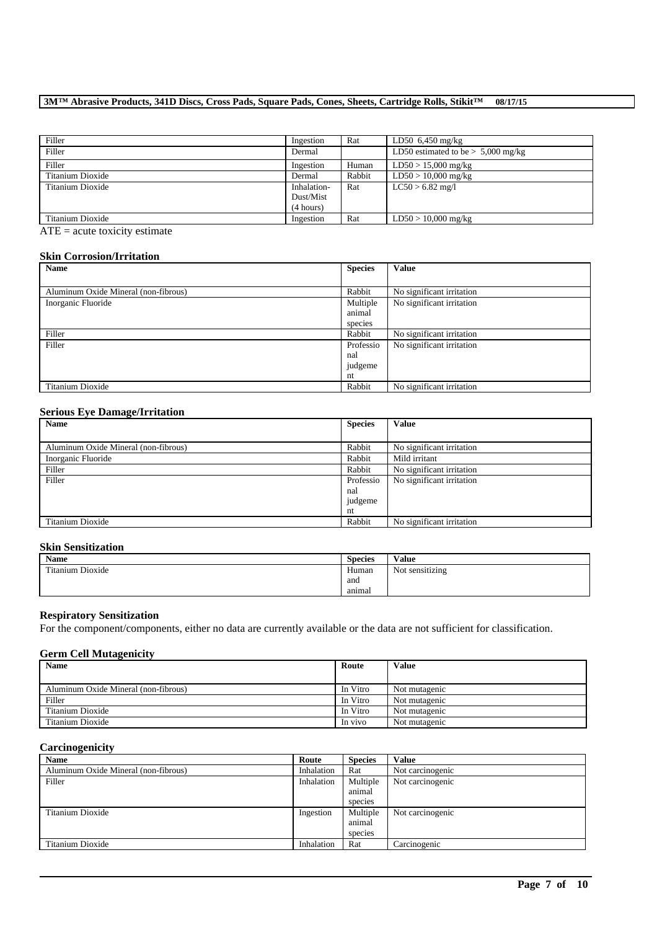## **3M™ Abrasive Products, 341D Discs, Cross Pads, Square Pads, Cones, Sheets, Cartridge Rolls, Stikit™ 08/17/15**

| Filler           | Ingestion   | Rat    | LD50 $6,450$ mg/kg                   |
|------------------|-------------|--------|--------------------------------------|
| Filler           | Dermal      |        | LD50 estimated to be $> 5,000$ mg/kg |
| Filler           | Ingestion   | Human  | $LD50 > 15,000$ mg/kg                |
| Titanium Dioxide | Dermal      | Rabbit | $LD50 > 10,000$ mg/kg                |
| Titanium Dioxide | Inhalation- | Rat    | $LC50 > 6.82$ mg/l                   |
|                  | Dust/Mist   |        |                                      |
|                  | (4 hours)   |        |                                      |
| Titanium Dioxide | Ingestion   | Rat    | $LD50 > 10,000$ mg/kg                |

 $ATE = acute toxicity estimate$ 

# **Skin Corrosion/Irritation**

| Name                                 | <b>Species</b> | <b>Value</b>              |
|--------------------------------------|----------------|---------------------------|
|                                      |                |                           |
| Aluminum Oxide Mineral (non-fibrous) | Rabbit         | No significant irritation |
| Inorganic Fluoride                   | Multiple       | No significant irritation |
|                                      | animal         |                           |
|                                      | species        |                           |
| Filler                               | Rabbit         | No significant irritation |
| Filler                               | Professio      | No significant irritation |
|                                      | nal            |                           |
|                                      | judgeme        |                           |
|                                      | nt             |                           |
| Titanium Dioxide                     | Rabbit         | No significant irritation |

#### **Serious Eye Damage/Irritation**

| Name                                 | <b>Species</b>                    | <b>Value</b>              |
|--------------------------------------|-----------------------------------|---------------------------|
|                                      |                                   |                           |
| Aluminum Oxide Mineral (non-fibrous) | Rabbit                            | No significant irritation |
| Inorganic Fluoride                   | Rabbit                            | Mild irritant             |
| Filler                               | Rabbit                            | No significant irritation |
| Filler                               | Professio<br>nal<br>judgeme<br>nt | No significant irritation |
| Titanium Dioxide                     | Rabbit                            | No significant irritation |

## **Skin Sensitization**

| Name             | <b>Species</b> | Value           |
|------------------|----------------|-----------------|
| Titanium Dioxide | Human          | Not sensitizing |
|                  | and            |                 |
|                  | animal         |                 |

#### **Respiratory Sensitization**

For the component/components, either no data are currently available or the data are not sufficient for classification.

### **Germ Cell Mutagenicity**

| <b>Name</b>                          | Route    | <b>Value</b>  |
|--------------------------------------|----------|---------------|
|                                      |          |               |
| Aluminum Oxide Mineral (non-fibrous) | In Vitro | Not mutagenic |
| Filler                               | In Vitro | Not mutagenic |
| Titanium Dioxide                     | In Vitro | Not mutagenic |
| Titanium Dioxide                     | In vivo  | Not mutagenic |

## **Carcinogenicity**

| <b>Name</b>                          | Route      | <b>Species</b> | Value            |
|--------------------------------------|------------|----------------|------------------|
| Aluminum Oxide Mineral (non-fibrous) | Inhalation | Rat            | Not carcinogenic |
| Filler                               | Inhalation | Multiple       | Not carcinogenic |
|                                      |            | animal         |                  |
|                                      |            | species        |                  |
| Titanium Dioxide                     | Ingestion  | Multiple       | Not carcinogenic |
|                                      |            | animal         |                  |
|                                      |            | species        |                  |
| Titanium Dioxide                     | Inhalation | Rat            | Carcinogenic     |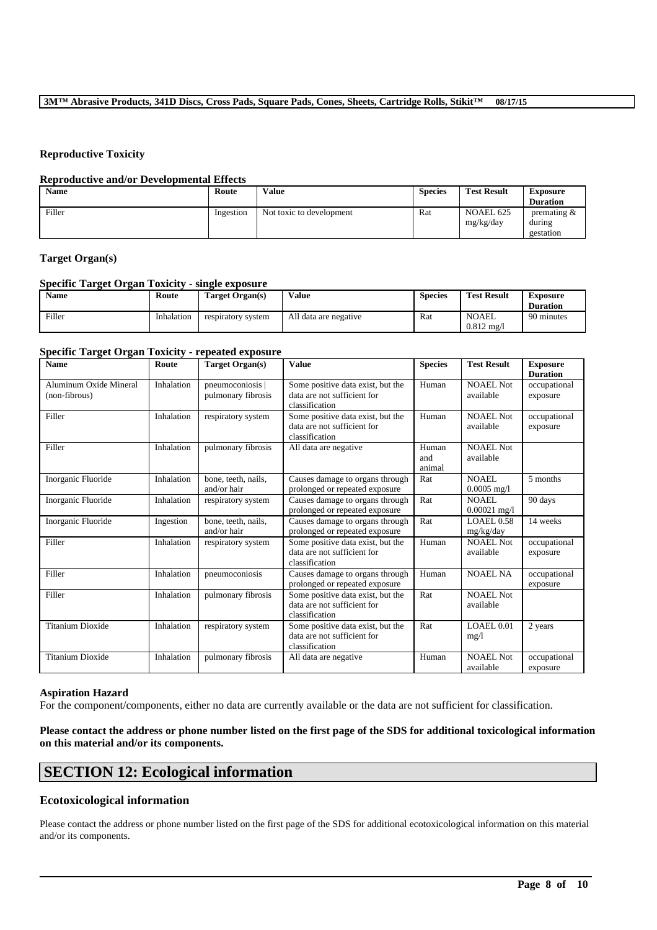### **Reproductive Toxicity**

#### **Reproductive and/or Developmental Effects**

| <b>Name</b> | Route     | Value                    | <b>Species</b> | <b>Test Result</b>     | <b>Exposure</b><br><b>Duration</b>    |
|-------------|-----------|--------------------------|----------------|------------------------|---------------------------------------|
| Filler      | Ingestion | Not toxic to development | Rat            | NOAEL 625<br>mg/kg/day | premating $\&$<br>during<br>gestation |

## **Target Organ(s)**

#### **Specific Target Organ Toxicity - single exposure**

| <b>Name</b> | Route      | Target Organ(s)    | Value                 | <b>Species</b> | <b>Test Result</b>            | <b>Exposure</b><br><b>Duration</b> |
|-------------|------------|--------------------|-----------------------|----------------|-------------------------------|------------------------------------|
| Filler      | Inhalation | respiratory system | All data are negative | Rat            | NOAEL<br>$0.812 \text{ mg}/1$ | 90 minutes                         |

## **Specific Target Organ Toxicity - repeated exposure**

| <b>Name</b>                             | Route      | <b>Target Organ(s)</b>                 | <b>Value</b>                                                                       | <b>Species</b>         | <b>Test Result</b>            | <b>Exposure</b><br><b>Duration</b> |
|-----------------------------------------|------------|----------------------------------------|------------------------------------------------------------------------------------|------------------------|-------------------------------|------------------------------------|
| Aluminum Oxide Mineral<br>(non-fibrous) | Inhalation | pneumoconiosis  <br>pulmonary fibrosis | Some positive data exist, but the<br>data are not sufficient for<br>classification | Human                  | <b>NOAEL Not</b><br>available | occupational<br>exposure           |
| Filler                                  | Inhalation | respiratory system                     | Some positive data exist, but the<br>data are not sufficient for<br>classification | Human                  | <b>NOAEL Not</b><br>available | occupational<br>exposure           |
| Filler                                  | Inhalation | pulmonary fibrosis                     | All data are negative                                                              | Human<br>and<br>animal | <b>NOAEL Not</b><br>available |                                    |
| Inorganic Fluoride                      | Inhalation | bone, teeth, nails,<br>and/or hair     | Causes damage to organs through<br>prolonged or repeated exposure                  | Rat                    | NOAEL.<br>$0.0005$ mg/l       | 5 months                           |
| Inorganic Fluoride                      | Inhalation | respiratory system                     | Causes damage to organs through<br>prolonged or repeated exposure                  | Rat                    | NOAEL.<br>$0.00021$ mg/l      | 90 days                            |
| Inorganic Fluoride                      | Ingestion  | bone, teeth, nails,<br>and/or hair     | Causes damage to organs through<br>prolonged or repeated exposure                  | Rat                    | <b>LOAEL0.58</b><br>mg/kg/day | 14 weeks                           |
| Filler                                  | Inhalation | respiratory system                     | Some positive data exist, but the<br>data are not sufficient for<br>classification | Human                  | <b>NOAEL Not</b><br>available | occupational<br>exposure           |
| Filler                                  | Inhalation | pneumoconiosis                         | Causes damage to organs through<br>prolonged or repeated exposure                  | Human                  | <b>NOAEL NA</b>               | occupational<br>exposure           |
| Filler                                  | Inhalation | pulmonary fibrosis                     | Some positive data exist, but the<br>data are not sufficient for<br>classification | Rat                    | <b>NOAEL Not</b><br>available |                                    |
| <b>Titanium Dioxide</b>                 | Inhalation | respiratory system                     | Some positive data exist, but the<br>data are not sufficient for<br>classification | Rat                    | LOAEL 0.01<br>mg/1            | 2 years                            |
| <b>Titanium Dioxide</b>                 | Inhalation | pulmonary fibrosis                     | All data are negative                                                              | Human                  | <b>NOAEL Not</b><br>available | occupational<br>exposure           |

#### **Aspiration Hazard**

For the component/components, either no data are currently available or the data are not sufficient for classification.

## **Please contact the address or phone number listed on the first page of the SDS for additional toxicological information on this material and/or its components.**

## **SECTION 12: Ecological information**

## **Ecotoxicological information**

Please contact the address or phone number listed on the first page of the SDS for additional ecotoxicological information on this material and/or its components.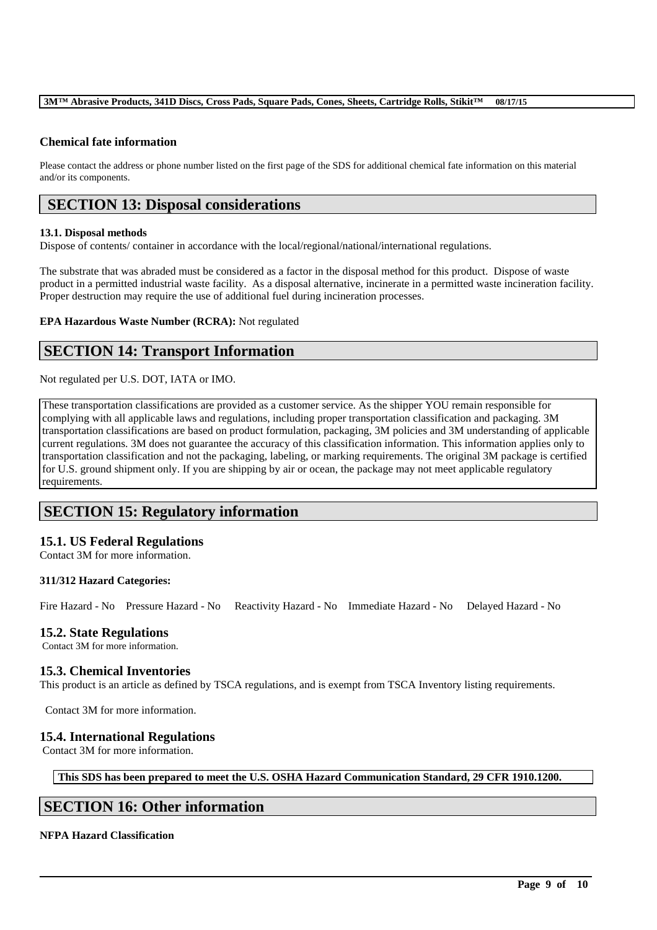#### **3M™ Abrasive Products, 341D Discs, Cross Pads, Square Pads, Cones, Sheets, Cartridge Rolls, Stikit™ 08/17/15**

## **Chemical fate information**

Please contact the address or phone number listed on the first page of the SDS for additional chemical fate information on this material and/or its components.

## **SECTION 13: Disposal considerations**

#### **13.1. Disposal methods**

Dispose of contents/ container in accordance with the local/regional/national/international regulations.

The substrate that was abraded must be considered as a factor in the disposal method for this product. Dispose of waste product in a permitted industrial waste facility. As a disposal alternative, incinerate in a permitted waste incineration facility. Proper destruction may require the use of additional fuel during incineration processes.

**EPA Hazardous Waste Number (RCRA):** Not regulated

# **SECTION 14: Transport Information**

Not regulated per U.S. DOT, IATA or IMO.

These transportation classifications are provided as a customer service. As the shipper YOU remain responsible for complying with all applicable laws and regulations, including proper transportation classification and packaging. 3M transportation classifications are based on product formulation, packaging, 3M policies and 3M understanding of applicable current regulations. 3M does not guarantee the accuracy of this classification information. This information applies only to transportation classification and not the packaging, labeling, or marking requirements. The original 3M package is certified for U.S. ground shipment only. If you are shipping by air or ocean, the package may not meet applicable regulatory requirements.

# **SECTION 15: Regulatory information**

## **15.1. US Federal Regulations**

Contact 3M for more information.

### **311/312 Hazard Categories:**

Fire Hazard - No Pressure Hazard - No Reactivity Hazard - No Immediate Hazard - No Delayed Hazard - No

### **15.2. State Regulations**

Contact 3M for more information.

### **15.3. Chemical Inventories**

This product is an article as defined by TSCA regulations, and is exempt from TSCA Inventory listing requirements.

Contact 3M for more information.

## **15.4. International Regulations**

Contact 3M for more information.

**This SDS has been prepared to meet the U.S. OSHA Hazard Communication Standard, 29 CFR 1910.1200.**

\_\_\_\_\_\_\_\_\_\_\_\_\_\_\_\_\_\_\_\_\_\_\_\_\_\_\_\_\_\_\_\_\_\_\_\_\_\_\_\_\_\_\_\_\_\_\_\_\_\_\_\_\_\_\_\_\_\_\_\_\_\_\_\_\_\_\_\_\_\_\_\_\_\_\_\_\_\_\_\_\_\_\_\_\_\_\_\_\_\_

# **SECTION 16: Other information**

#### **NFPA Hazard Classification**